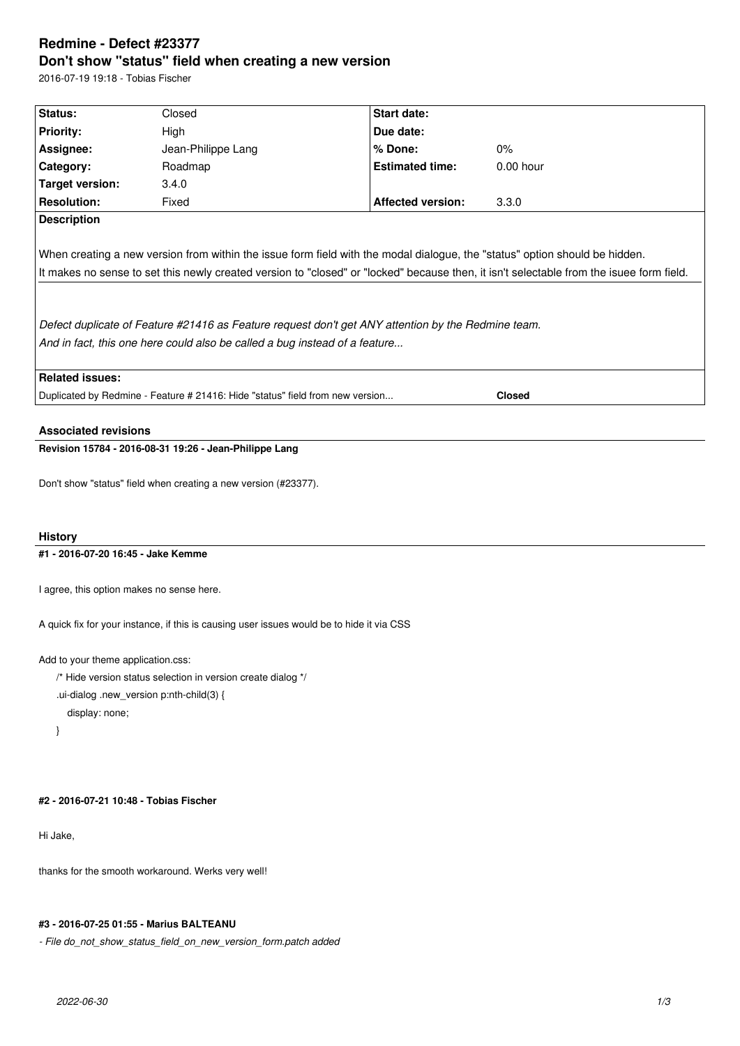# **Redmine - Defect #23377 Don't show "status" field when creating a new version**

2016-07-19 19:18 - Tobias Fischer

| Status:                                                                       | Closed                                                                     | Start date:                                                                                        |                                                                                                                                          |
|-------------------------------------------------------------------------------|----------------------------------------------------------------------------|----------------------------------------------------------------------------------------------------|------------------------------------------------------------------------------------------------------------------------------------------|
| <b>Priority:</b>                                                              | High                                                                       | Due date:                                                                                          |                                                                                                                                          |
| Assignee:                                                                     | Jean-Philippe Lang                                                         | $%$ Done:                                                                                          | $0\%$                                                                                                                                    |
| Category:                                                                     | Roadmap                                                                    | <b>Estimated time:</b>                                                                             | $0.00$ hour                                                                                                                              |
| Target version:                                                               | 3.4.0                                                                      |                                                                                                    |                                                                                                                                          |
| <b>Resolution:</b>                                                            | Fixed                                                                      | <b>Affected version:</b>                                                                           | 3.3.0                                                                                                                                    |
| <b>Description</b>                                                            |                                                                            |                                                                                                    |                                                                                                                                          |
|                                                                               | And in fact, this one here could also be called a bug instead of a feature | Defect duplicate of Feature #21416 as Feature request don't get ANY attention by the Redmine team. | It makes no sense to set this newly created version to "closed" or "locked" because then, it isn't selectable from the isuee form field. |
| <b>Related issues:</b>                                                        |                                                                            |                                                                                                    |                                                                                                                                          |
| Duplicated by Redmine - Feature # 21416: Hide "status" field from new version |                                                                            |                                                                                                    | <b>Closed</b>                                                                                                                            |
|                                                                               |                                                                            |                                                                                                    |                                                                                                                                          |

**Revision 15784 - 2016-08-31 19:26 - Jean-Philippe Lang**

Don't show "status" field when creating a new version (#23377).

## **History**

## **#1 - 2016-07-20 16:45 - Jake Kemme**

I agree, this option makes no sense here.

A quick fix for your instance, if this is causing user issues would be to hide it via CSS

Add to your theme application.css:

/\* Hide version status selection in version create dialog \*/

.ui-dialog .new\_version p:nth-child(3) {

display: none;

}

## **#2 - 2016-07-21 10:48 - Tobias Fischer**

Hi Jake,

thanks for the smooth workaround. Werks very well!

### **#3 - 2016-07-25 01:55 - Marius BALTEANU**

*- File do\_not\_show\_status\_field\_on\_new\_version\_form.patch added*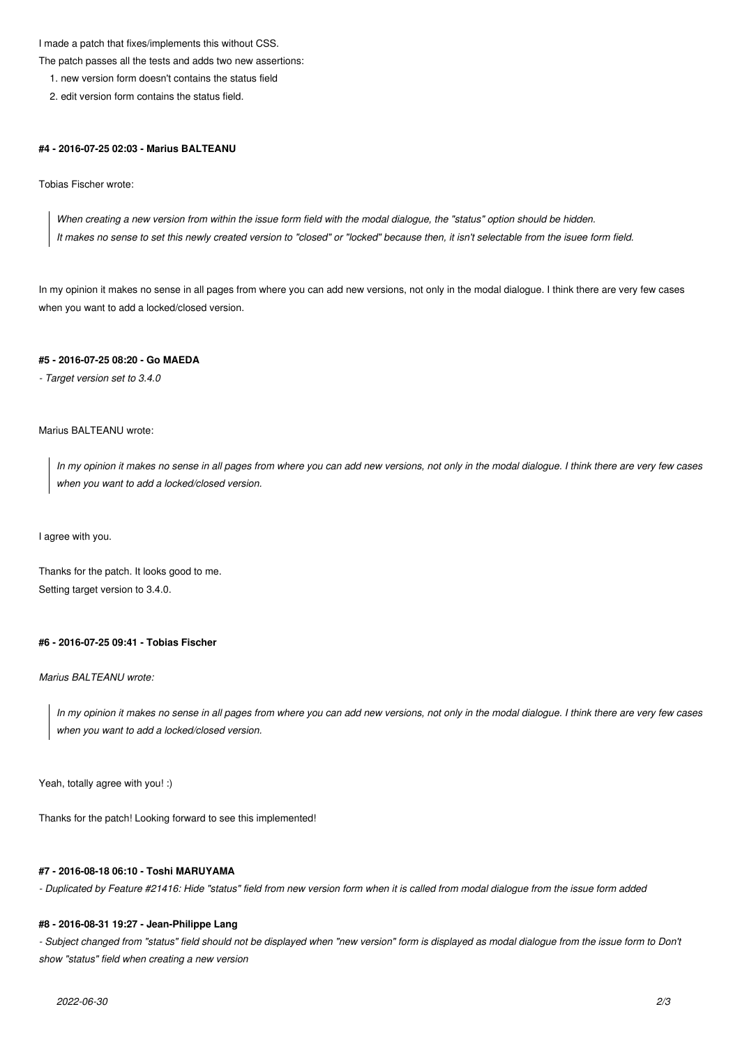I made a patch that fixes/implements this without CSS.

The patch passes all the tests and adds two new assertions:

1. new version form doesn't contains the status field

2. edit version form contains the status field.

#### **#4 - 2016-07-25 02:03 - Marius BALTEANU**

Tobias Fischer wrote:

*When creating a new version from within the issue form field with the modal dialogue, the "status" option should be hidden. It makes no sense to set this newly created version to "closed" or "locked" because then, it isn't selectable from the isuee form field.*

In my opinion it makes no sense in all pages from where you can add new versions, not only in the modal dialogue. I think there are very few cases when you want to add a locked/closed version.

## **#5 - 2016-07-25 08:20 - Go MAEDA**

*- Target version set to 3.4.0*

## Marius BALTEANU wrote:

*In my opinion it makes no sense in all pages from where you can add new versions, not only in the modal dialogue. I think there are very few cases when you want to add a locked/closed version.*

I agree with you.

Thanks for the patch. It looks good to me. Setting target version to 3.4.0.

#### **#6 - 2016-07-25 09:41 - Tobias Fischer**

### *Marius BALTEANU wrote:*

*In my opinion it makes no sense in all pages from where you can add new versions, not only in the modal dialogue. I think there are very few cases when you want to add a locked/closed version.*

Yeah, totally agree with you! :)

Thanks for the patch! Looking forward to see this implemented!

### **#7 - 2016-08-18 06:10 - Toshi MARUYAMA**

*- Duplicated by Feature #21416: Hide "status" field from new version form when it is called from modal dialogue from the issue form added*

#### **#8 - 2016-08-31 19:27 - Jean-Philippe Lang**

- Subject changed from "status" field should not be displayed when "new version" form is displayed as modal dialogue from the issue form to Don't *show "status" field when creating a new version*